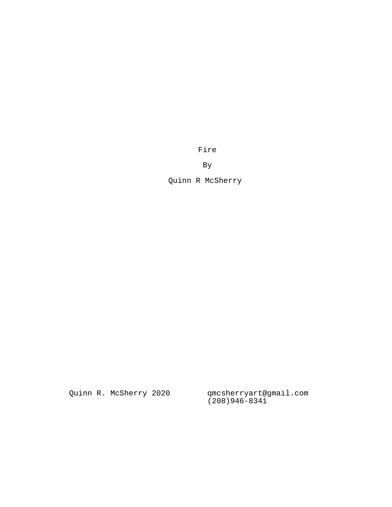Fire

By

Quinn R McSherry

Quinn R. McSherry 2020

qmcsherryart@gmail.com<br>(208)946-8341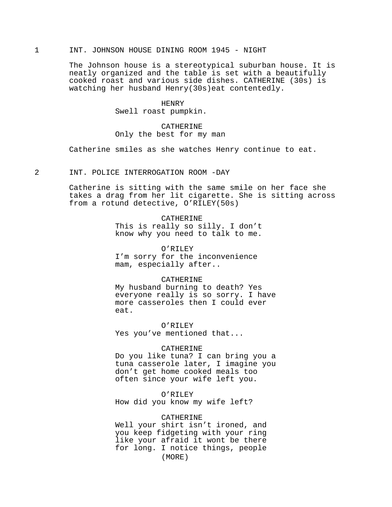# 1 INT. JOHNSON HOUSE DINING ROOM 1945 - NIGHT

The Johnson house is a stereotypical suburban house. It is neatly organized and the table is set with a beautifully cooked roast and various side dishes. CATHERINE (30s) is watching her husband Henry(30s)eat contentedly.

#### HENRY

Swell roast pumpkin.

# CATHERINE Only the best for my man

Catherine smiles as she watches Henry continue to eat.

# 2 INT. POLICE INTERROGATION ROOM -DAY

Catherine is sitting with the same smile on her face she takes a drag from her lit cigarette. She is sitting across from a rotund detective, O'RILEY(50s)

# CATHERINE

This is really so silly. I don't know why you need to talk to me.

## O'RILEY

I'm sorry for the inconvenience mam, especially after..

## CATHERINE

My husband burning to death? Yes everyone really is so sorry. I have more casseroles then I could ever eat.

### O'RILEY

Yes you've mentioned that...

#### CATHERINE

Do you like tuna? I can bring you a tuna casserole later, I imagine you don't get home cooked meals too often since your wife left you.

## O'RILEY

How did you know my wife left?

### CATHERINE

Well your shirt isn't ironed, and you keep fidgeting with your ring like your afraid it wont be there for long. I notice things, people (MORE)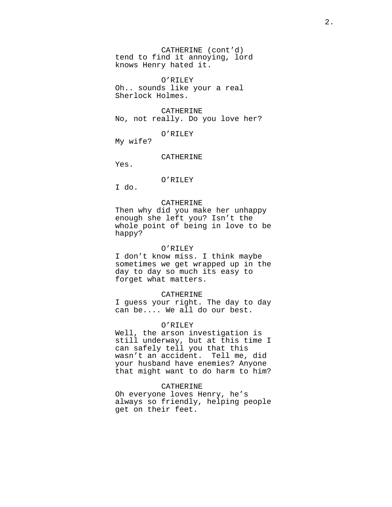CATHERINE (cont'd) tend to find it annoying, lord knows Henry hated it.

O'RILEY Oh.. sounds like your a real Sherlock Holmes.

#### CATHERINE

No, not really. Do you love her?

O'RILEY

My wife?

#### CATHERINE

Yes.

# O'RILEY

I do.

### CATHERINE

Then why did you make her unhappy enough she left you? Isn't the whole point of being in love to be happy?

### O'RILEY

I don't know miss. I think maybe sometimes we get wrapped up in the day to day so much its easy to forget what matters.

#### CATHERINE

I guess your right. The day to day can be.... We all do our best.

### O'RILEY

Well, the arson investigation is still underway, but at this time I can safely tell you that this wasn't an accident. Tell me, did your husband have enemies? Anyone that might want to do harm to him?

## CATHERINE

Oh everyone loves Henry, he's always so friendly, helping people get on their feet.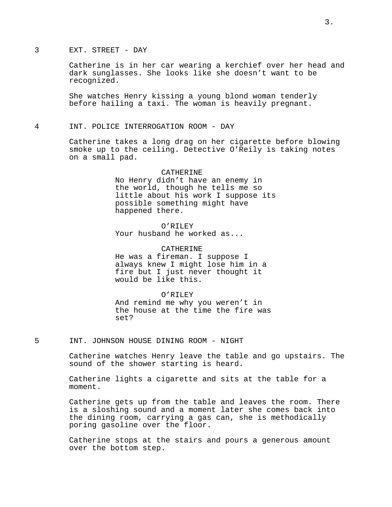# 3 EXT. STREET - DAY

Catherine is in her car wearing a kerchief over her head and dark sunglasses. She looks like she doesn't want to be recognized.

She watches Henry kissing a young blond woman tenderly before hailing a taxi. The woman is heavily pregnant.

4 INT. POLICE INTERROGATION ROOM - DAY

Catherine takes a long drag on her cigarette before blowing smoke up to the ceiling. Detective O'Reily is taking notes on a small pad.

> CATHERINE No Henry didn't have an enemy in the world, though he tells me so little about his work I suppose its possible something might have happened there.

O'RILEY Your husband he worked as...

CATHERINE He was a fireman. I suppose I always knew I might lose him in a fire but I just never thought it would be like this.

O'RILEY

And remind me why you weren't in the house at the time the fire was set?

5 INT. JOHNSON HOUSE DINING ROOM - NIGHT

Catherine watches Henry leave the table and go upstairs. The sound of the shower starting is heard.

Catherine lights a cigarette and sits at the table for a moment.

Catherine gets up from the table and leaves the room. There is a sloshing sound and a moment later she comes back into the dining room, carrying a gas can, she is methodically poring gasoline over the floor.

Catherine stops at the stairs and pours a generous amount over the bottom step.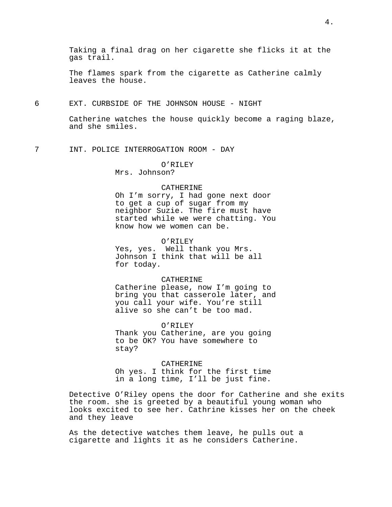The flames spark from the cigarette as Catherine calmly leaves the house.

## 6 EXT. CURBSIDE OF THE JOHNSON HOUSE - NIGHT

Catherine watches the house quickly become a raging blaze, and she smiles.

7 INT. POLICE INTERROGATION ROOM - DAY

# O'RILEY

Mrs. Johnson?

### CATHERINE

Oh I'm sorry, I had gone next door to get a cup of sugar from my neighbor Suzie. The fire must have started while we were chatting. You know how we women can be.

## O'RILEY

Yes, yes. Well thank you Mrs. Johnson I think that will be all for today.

#### CATHERINE

Catherine please, now I'm going to bring you that casserole later, and you call your wife. You're still alive so she can't be too mad.

#### O'RILEY

Thank you Catherine, are you going to be OK? You have somewhere to stay?

CATHERINE Oh yes. I think for the first time in a long time, I'll be just fine.

Detective O'Riley opens the door for Catherine and she exits the room. she is greeted by a beautiful young woman who looks excited to see her. Cathrine kisses her on the cheek and they leave

As the detective watches them leave, he pulls out a cigarette and lights it as he considers Catherine.